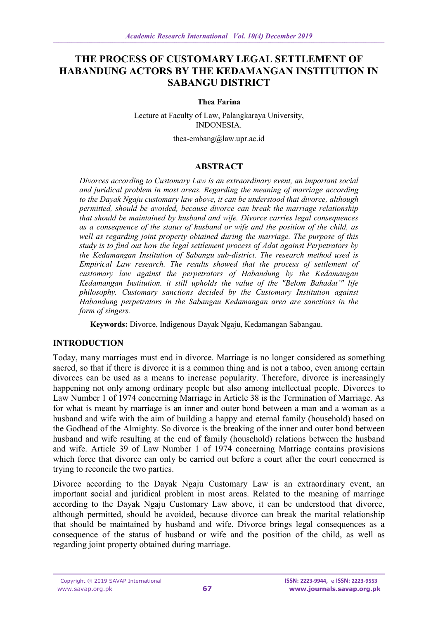# **THE PROCESS OF CUSTOMARY LEGAL SETTLEMENT OF HABANDUNG ACTORS BY THE KEDAMANGAN INSTITUTION IN SABANGU DISTRICT**

#### **Thea Farina**

Lecture at Faculty of Law, Palangkaraya University, INDONESIA.

[thea-embang@law.upr.ac.id](mailto:thea-embang@law.upr.ac.id)

## **ABSTRACT**

*Divorces according to Customary Law is an extraordinary event, an important social and juridical problem in most areas. Regarding the meaning of marriage according to the Dayak Ngaju customary law above, it can be understood that divorce, although permitted, should be avoided, because divorce can break the marriage relationship that should be maintained by husband and wife. Divorce carries legal consequences as a consequence of the status of husband or wife and the position of the child, as well as regarding joint property obtained during the marriage. The purpose of this study is to find out how the legal settlement process of Adat against Perpetrators by the Kedamangan Institution of Sabangu sub-district. The research method used is Empirical Law research. The results showed that the process of settlement of customary law against the perpetrators of Habandung by the Kedamangan Kedamangan Institution. it still upholds the value of the "Belom Bahadat´" life philosophy. Customary sanctions decided by the Customary Institution against Habandung perpetrators in the Sabangau Kedamangan area are sanctions in the form of singers.*

**Keywords:** Divorce, Indigenous Dayak Ngaju, Kedamangan Sabangau.

### **INTRODUCTION**

Today, many marriages must end in divorce. Marriage is no longer considered as something sacred, so that if there is divorce it is a common thing and is not a taboo, even among certain divorces can be used as a means to increase popularity. Therefore, divorce is increasingly happening not only among ordinary people but also among intellectual people. Divorces to Law Number 1 of 1974 concerning Marriage in Article 38 is the Termination of Marriage. As for what is meant by marriage is an inner and outer bond between a man and a woman as a husband and wife with the aim of building a happy and eternal family (household) based on the Godhead of the Almighty. So divorce is the breaking of the inner and outer bond between husband and wife resulting at the end of family (household) relations between the husband and wife. Article 39 of Law Number 1 of 1974 concerning Marriage contains provisions which force that divorce can only be carried out before a court after the court concerned is trying to reconcile the two parties.

Divorce according to the Dayak Ngaju Customary Law is an extraordinary event, an important social and juridical problem in most areas. Related to the meaning of marriage according to the Dayak Ngaju Customary Law above, it can be understood that divorce, although permitted, should be avoided, because divorce can break the marital relationship that should be maintained by husband and wife. Divorce brings legal consequences as a consequence of the status of husband or wife and the position of the child, as well as regarding joint property obtained during marriage.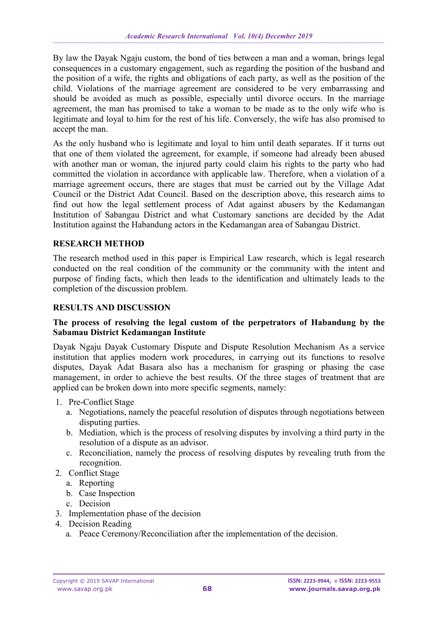By law the Dayak Ngaju custom, the bond of ties between a man and a woman, brings legal consequences in a customary engagement, such as regarding the position of the husband and the position of a wife, the rights and obligations of each party, as well as the position of the child. Violations of the marriage agreement are considered to be very embarrassing and should be avoided as much as possible, especially until divorce occurs. In the marriage agreement, the man has promised to take a woman to be made as to the only wife who is legitimate and loyal to him for the rest of his life. Conversely, the wife has also promised to accept the man.

As the only husband who is legitimate and loyal to him until death separates. If it turns out that one of them violated the agreement, for example, if someone had already been abused with another man or woman, the injured party could claim his rights to the party who had committed the violation in accordance with applicable law. Therefore, when a violation of a marriage agreement occurs, there are stages that must be carried out by the Village Adat Council or the District Adat Council. Based on the description above, this research aims to find out how the legal settlement process of Adat against abusers by the Kedamangan Institution of Sabangau District and what Customary sanctions are decided by the Adat Institution against the Habandung actors in the Kedamangan area of Sabangau District.

### **RESEARCH METHOD**

The research method used in this paper is Empirical Law research, which is legal research conducted on the real condition of the community or the community with the intent and purpose of finding facts, which then leads to the identification and ultimately leads to the completion of the discussion problem.

### **RESULTS AND DISCUSSION**

#### **The process of resolving the legal custom of the perpetrators of Habandung by the Sabamau District Kedamangan Institute**

Dayak Ngaju Dayak Customary Dispute and Dispute Resolution Mechanism As a service institution that applies modern work procedures, in carrying out its functions to resolve disputes, Dayak Adat Basara also has a mechanism for grasping or phasing the case management, in order to achieve the best results. Of the three stages of treatment that are applied can be broken down into more specific segments, namely:

- 1. Pre-Conflict Stage
	- a. Negotiations, namely the peaceful resolution of disputes through negotiations between disputing parties.
	- b. Mediation, which is the process of resolving disputes by involving a third party in the resolution of a dispute as an advisor.
	- c. Reconciliation, namely the process of resolving disputes by revealing truth from the recognition.
- 2. Conflict Stage
	- a. Reporting
	- b. Case Inspection
	- c. Decision
- 3. Implementation phase of the decision
- 4. Decision Reading
	- a. Peace Ceremony/Reconciliation after the implementation of the decision.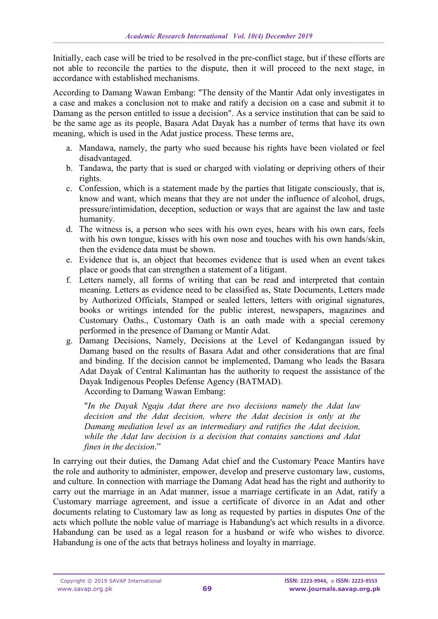Initially, each case will be tried to be resolved in the pre-conflict stage, but if these efforts are not able to reconcile the parties to the dispute, then it will proceed to the next stage, in accordance with established mechanisms.

According to Damang Wawan Embang: "The density of the Mantir Adat only investigates in a case and makes a conclusion not to make and ratify a decision on a case and submit it to Damang as the person entitled to issue a decision". As a service institution that can be said to be the same age as its people, Basara Adat Dayak has a number of terms that have its own meaning, which is used in the Adat justice process. These terms are,

- a. Mandawa, namely, the party who sued because his rights have been violated or feel disadvantaged.
- b. Tandawa, the party that is sued or charged with violating or depriving others of their rights.
- c. Confession, which is a statement made by the parties that litigate consciously, that is, know and want, which means that they are not under the influence of alcohol, drugs, pressure/intimidation, deception, seduction or ways that are against the law and taste humanity.
- d. The witness is, a person who sees with his own eyes, hears with his own ears, feels with his own tongue, kisses with his own nose and touches with his own hands/skin, then the evidence data must be shown.
- e. Evidence that is, an object that becomes evidence that is used when an event takes place or goods that can strengthen a statement of a litigant.
- f. Letters namely, all forms of writing that can be read and interpreted that contain meaning. Letters as evidence need to be classified as, State Documents, Letters made by Authorized Officials, Stamped or sealed letters, letters with original signatures, books or writings intended for the public interest, newspapers, magazines and Customary Oaths., Customary Oath is an oath made with a special ceremony performed in the presence of Damang or Mantir Adat.
- g. Damang Decisions, Namely, Decisions at the Level of Kedangangan issued by Damang based on the results of Basara Adat and other considerations that are final and binding. If the decision cannot be implemented, Damang who leads the Basara Adat Dayak of Central Kalimantan has the authority to request the assistance of the Dayak Indigenous Peoples Defense Agency (BATMAD). According to Damang Wawan Embang:

"*In the Dayak Ngaju Adat there are two decisions namely the Adat law decision and the Adat decision, where the Adat decision is only at the Damang mediation level as an intermediary and ratifies the Adat decision, while the Adat law decision is a decision that contains sanctions and Adat fines in the decision*."

In carrying out their duties, the Damang Adat chief and the Customary Peace Mantirs have the role and authority to administer, empower, develop and preserve customary law, customs, and culture. In connection with marriage the Damang Adat head has the right and authority to carry out the marriage in an Adat manner, issue a marriage certificate in an Adat, ratify a Customary marriage agreement, and issue a certificate of divorce in an Adat and other documents relating to Customary law as long as requested by parties in disputes One of the acts which pollute the noble value of marriage is Habandung's act which results in a divorce. Habandung can be used as a legal reason for a husband or wife who wishes to divorce. Habandung is one of the acts that betrays holiness and loyalty in marriage.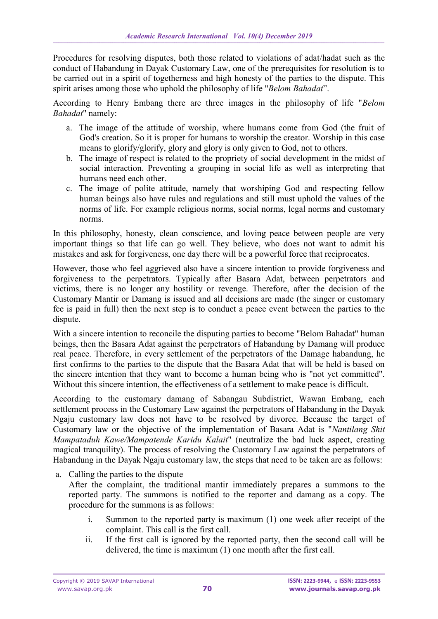Procedures for resolving disputes, both those related to violations of adat/hadat such as the conduct of Habandung in Dayak Customary Law, one of the prerequisites for resolution is to be carried out in a spirit of togetherness and high honesty of the parties to the dispute. This spirit arises among those who uphold the philosophy of life "*Belom Bahadat*".

According to Henry Embang there are three images in the philosophy of life "*Belom Bahadat*" namely:

- a. The image of the attitude of worship, where humans come from God (the fruit of God's creation. So it is proper for humans to worship the creator. Worship in this case means to glorify/glorify, glory and glory is only given to God, not to others.
- b. The image of respect is related to the propriety of social development in the midst of social interaction. Preventing a grouping in social life as well as interpreting that humans need each other.
- c. The image of polite attitude, namely that worshiping God and respecting fellow human beings also have rules and regulations and still must uphold the values of the norms of life. For example religious norms, social norms, legal norms and customary norms.

In this philosophy, honesty, clean conscience, and loving peace between people are very important things so that life can go well. They believe, who does not want to admit his mistakes and ask for forgiveness, one day there will be a powerful force that reciprocates.

However, those who feel aggrieved also have a sincere intention to provide forgiveness and forgiveness to the perpetrators. Typically after Basara Adat, between perpetrators and victims, there is no longer any hostility or revenge. Therefore, after the decision of the Customary Mantir or Damang is issued and all decisions are made (the singer or customary fee is paid in full) then the next step is to conduct a peace event between the parties to the dispute.

With a sincere intention to reconcile the disputing parties to become "Belom Bahadat" human beings, then the Basara Adat against the perpetrators of Habandung by Damang will produce real peace. Therefore, in every settlement of the perpetrators of the Damage habandung, he first confirms to the parties to the dispute that the Basara Adat that will be held is based on the sincere intention that they want to become a human being who is "not yet committed". Without this sincere intention, the effectiveness of a settlement to make peace is difficult.

According to the customary damang of Sabangau Subdistrict, Wawan Embang, each settlement process in the Customary Law against the perpetrators of Habandung in the Dayak Ngaju customary law does not have to be resolved by divorce. Because the target of Customary law or the objective of the implementation of Basara Adat is "*Nantilang Shit Mampataduh Kawe/Mampatende Karidu Kalait*" (neutralize the bad luck aspect, creating magical tranquility). The process of resolving the Customary Law against the perpetrators of Habandung in the Dayak Ngaju customary law, the steps that need to be taken are as follows:

a. Calling the parties to the dispute

After the complaint, the traditional mantir immediately prepares a summons to the reported party. The summons is notified to the reporter and damang as a copy. The procedure for the summons is as follows:

- i. Summon to the reported party is maximum (1) one week after receipt of the complaint. This call is the first call.
- ii. If the first call is ignored by the reported party, then the second call will be delivered, the time is maximum (1) one month after the first call.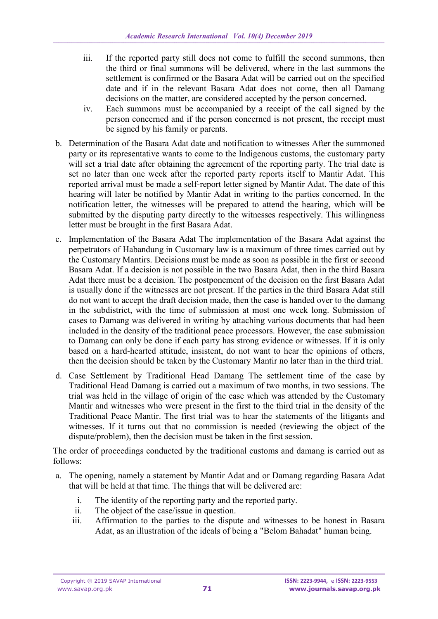- iii. If the reported party still does not come to fulfill the second summons, then the third or final summons will be delivered, where in the last summons the settlement is confirmed or the Basara Adat will be carried out on the specified date and if in the relevant Basara Adat does not come, then all Damang decisions on the matter, are considered accepted by the person concerned.
- iv. Each summons must be accompanied by a receipt of the call signed by the person concerned and if the person concerned is not present, the receipt must be signed by his family or parents.
- b. Determination of the Basara Adat date and notification to witnesses After the summoned party or its representative wants to come to the Indigenous customs, the customary party will set a trial date after obtaining the agreement of the reporting party. The trial date is set no later than one week after the reported party reports itself to Mantir Adat. This reported arrival must be made a self-report letter signed by Mantir Adat. The date of this hearing will later be notified by Mantir Adat in writing to the parties concerned. In the notification letter, the witnesses will be prepared to attend the hearing, which will be submitted by the disputing party directly to the witnesses respectively. This willingness letter must be brought in the first Basara Adat.
- c. Implementation of the Basara Adat The implementation of the Basara Adat against the perpetrators of Habandung in Customary law is a maximum of three times carried out by the Customary Mantirs. Decisions must be made as soon as possible in the first or second Basara Adat. If a decision is not possible in the two Basara Adat, then in the third Basara Adat there must be a decision. The postponement of the decision on the first Basara Adat is usually done if the witnesses are not present. If the parties in the third Basara Adat still do not want to accept the draft decision made, then the case is handed over to the damang in the subdistrict, with the time of submission at most one week long. Submission of cases to Damang was delivered in writing by attaching various documents that had been included in the density of the traditional peace processors. However, the case submission to Damang can only be done if each party has strong evidence or witnesses. If it is only based on a hard-hearted attitude, insistent, do not want to hear the opinions of others, then the decision should be taken by the Customary Mantir no later than in the third trial.
- d. Case Settlement by Traditional Head Damang The settlement time of the case by Traditional Head Damang is carried out a maximum of two months, in two sessions. The trial was held in the village of origin of the case which was attended by the Customary Mantir and witnesses who were present in the first to the third trial in the density of the Traditional Peace Mantir. The first trial was to hear the statements of the litigants and witnesses. If it turns out that no commission is needed (reviewing the object of the dispute/problem), then the decision must be taken in the first session.

The order of proceedings conducted by the traditional customs and damang is carried out as follows:

- a. The opening, namely a statement by Mantir Adat and or Damang regarding Basara Adat that will be held at that time. The things that will be delivered are:
	- i. The identity of the reporting party and the reported party.
	- ii. The object of the case/issue in question.
	- iii. Affirmation to the parties to the dispute and witnesses to be honest in Basara Adat, as an illustration of the ideals of being a "Belom Bahadat" human being.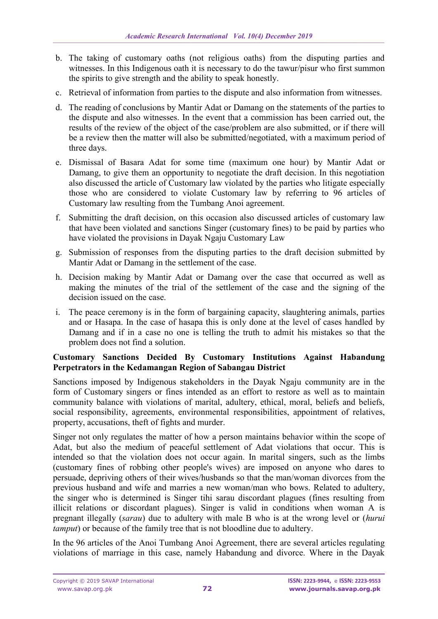- b. The taking of customary oaths (not religious oaths) from the disputing parties and witnesses. In this Indigenous oath it is necessary to do the tawur/pisur who first summon the spirits to give strength and the ability to speak honestly.
- c. Retrieval of information from parties to the dispute and also information from witnesses.
- d. The reading of conclusions by Mantir Adat or Damang on the statements of the parties to the dispute and also witnesses. In the event that a commission has been carried out, the results of the review of the object of the case/problem are also submitted, or if there will be a review then the matter will also be submitted/negotiated, with a maximum period of three days.
- e. Dismissal of Basara Adat for some time (maximum one hour) by Mantir Adat or Damang, to give them an opportunity to negotiate the draft decision. In this negotiation also discussed the article of Customary law violated by the parties who litigate especially those who are considered to violate Customary law by referring to 96 articles of Customary law resulting from the Tumbang Anoi agreement.
- f. Submitting the draft decision, on this occasion also discussed articles of customary law that have been violated and sanctions Singer (customary fines) to be paid by parties who have violated the provisions in Dayak Ngaju Customary Law
- g. Submission of responses from the disputing parties to the draft decision submitted by Mantir Adat or Damang in the settlement of the case.
- h. Decision making by Mantir Adat or Damang over the case that occurred as well as making the minutes of the trial of the settlement of the case and the signing of the decision issued on the case.
- i. The peace ceremony is in the form of bargaining capacity, slaughtering animals, parties and or Hasapa. In the case of hasapa this is only done at the level of cases handled by Damang and if in a case no one is telling the truth to admit his mistakes so that the problem does not find a solution.

## **Customary Sanctions Decided By Customary Institutions Against Habandung Perpetrators in the Kedamangan Region of Sabangau District**

Sanctions imposed by Indigenous stakeholders in the Dayak Ngaju community are in the form of Customary singers or fines intended as an effort to restore as well as to maintain community balance with violations of marital, adultery, ethical, moral, beliefs and beliefs, social responsibility, agreements, environmental responsibilities, appointment of relatives, property, accusations, theft of fights and murder.

Singer not only regulates the matter of how a person maintains behavior within the scope of Adat, but also the medium of peaceful settlement of Adat violations that occur. This is intended so that the violation does not occur again. In marital singers, such as the limbs (customary fines of robbing other people's wives) are imposed on anyone who dares to persuade, depriving others of their wives/husbands so that the man/woman divorces from the previous husband and wife and marries a new woman/man who bows. Related to adultery, the singer who is determined is Singer tihi sarau discordant plagues (fines resulting from illicit relations or discordant plagues). Singer is valid in conditions when woman A is pregnant illegally (*sarau*) due to adultery with male B who is at the wrong level or (*hurui tamput*) or because of the family tree that is not bloodline due to adultery.

In the 96 articles of the Anoi Tumbang Anoi Agreement, there are several articles regulating violations of marriage in this case, namely Habandung and divorce. Where in the Dayak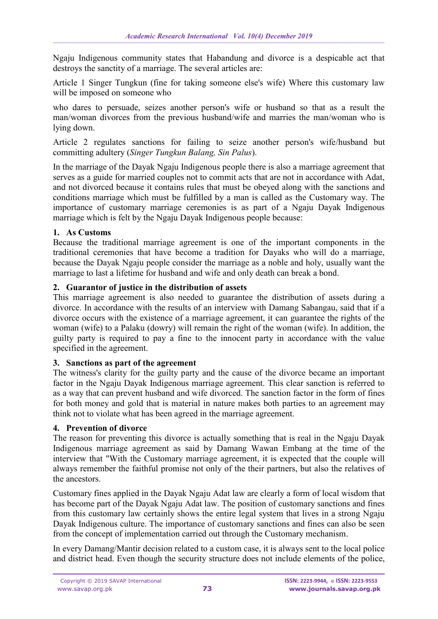Ngaju Indigenous community states that Habandung and divorce is a despicable act that destroys the sanctity of a marriage. The several articles are:

Article 1 Singer Tungkun (fine for taking someone else's wife) Where this customary law will be imposed on someone who

who dares to persuade, seizes another person's wife or husband so that as a result the man/woman divorces from the previous husband/wife and marries the man/woman who is lying down.

Article 2 regulates sanctions for failing to seize another person's wife/husband but committing adultery (*Singer Tungkun Balang, Sin Palus*).

In the marriage of the Dayak Ngaju Indigenous people there is also a marriage agreement that serves as a guide for married couples not to commit acts that are not in accordance with Adat, and not divorced because it contains rules that must be obeyed along with the sanctions and conditions marriage which must be fulfilled by a man is called as the Customary way. The importance of customary marriage ceremonies is as part of a Ngaju Dayak Indigenous marriage which is felt by the Ngaju Dayak Indigenous people because:

# **1. As Customs**

Because the traditional marriage agreement is one of the important components in the traditional ceremonies that have become a tradition for Dayaks who will do a marriage, because the Dayak Ngaju people consider the marriage as a noble and holy, usually want the marriage to last a lifetime for husband and wife and only death can break a bond.

## **2. Guarantor of justice in the distribution of assets**

This marriage agreement is also needed to guarantee the distribution of assets during a divorce. In accordance with the results of an interview with Damang Sabangau, said that if a divorce occurs with the existence of a marriage agreement, it can guarantee the rights of the woman (wife) to a Palaku (dowry) will remain the right of the woman (wife). In addition, the guilty party is required to pay a fine to the innocent party in accordance with the value specified in the agreement.

### **3. Sanctions as part of the agreement**

The witness's clarity for the guilty party and the cause of the divorce became an important factor in the Ngaju Dayak Indigenous marriage agreement. This clear sanction is referred to as a way that can prevent husband and wife divorced. The sanction factor in the form of fines for both money and gold that is material in nature makes both parties to an agreement may think not to violate what has been agreed in the marriage agreement.

# **4. Prevention of divorce**

The reason for preventing this divorce is actually something that is real in the Ngaju Dayak Indigenous marriage agreement as said by Damang Wawan Embang at the time of the interview that "With the Customary marriage agreement, it is expected that the couple will always remember the faithful promise not only of the their partners, but also the relatives of the ancestors.

Customary fines applied in the Dayak Ngaju Adat law are clearly a form of local wisdom that has become part of the Dayak Ngaju Adat law. The position of customary sanctions and fines from this customary law certainly shows the entire legal system that lives in a strong Ngaju Dayak Indigenous culture. The importance of customary sanctions and fines can also be seen from the concept of implementation carried out through the Customary mechanism.

In every Damang/Mantir decision related to a custom case, it is always sent to the local police and district head. Even though the security structure does not include elements of the police,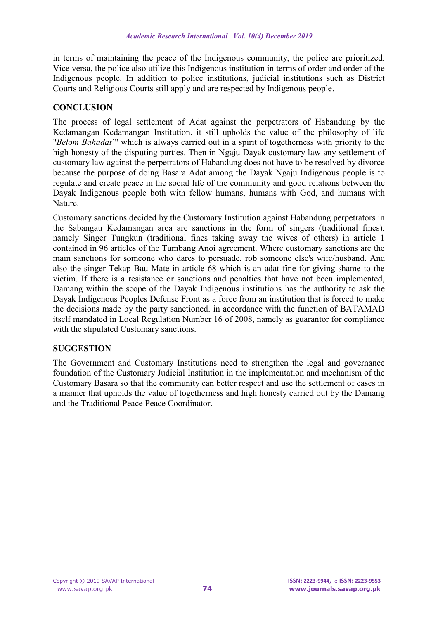in terms of maintaining the peace of the Indigenous community, the police are prioritized. Vice versa, the police also utilize this Indigenous institution in terms of order and order of the Indigenous people. In addition to police institutions, judicial institutions such as District Courts and Religious Courts still apply and are respected by Indigenous people.

### **CONCLUSION**

The process of legal settlement of Adat against the perpetrators of Habandung by the Kedamangan Kedamangan Institution. it still upholds the value of the philosophy of life "*Belom Bahadat*´" which is always carried out in a spirit of togetherness with priority to the high honesty of the disputing parties. Then in Ngaju Dayak customary law any settlement of customary law against the perpetrators of Habandung does not have to be resolved by divorce because the purpose of doing Basara Adat among the Dayak Ngaju Indigenous people is to regulate and create peace in the social life of the community and good relations between the Dayak Indigenous people both with fellow humans, humans with God, and humans with Nature.

Customary sanctions decided by the Customary Institution against Habandung perpetrators in the Sabangau Kedamangan area are sanctions in the form of singers (traditional fines), namely Singer Tungkun (traditional fines taking away the wives of others) in article 1 contained in 96 articles of the Tumbang Anoi agreement. Where customary sanctions are the main sanctions for someone who dares to persuade, rob someone else's wife/husband. And also the singer Tekap Bau Mate in article 68 which is an adat fine for giving shame to the victim. If there is a resistance or sanctions and penalties that have not been implemented, Damang within the scope of the Dayak Indigenous institutions has the authority to ask the Dayak Indigenous Peoples Defense Front as a force from an institution that is forced to make the decisions made by the party sanctioned. in accordance with the function of BATAMAD itself mandated in Local Regulation Number 16 of 2008, namely as guarantor for compliance with the stipulated Customary sanctions.

# **SUGGESTION**

The Government and Customary Institutions need to strengthen the legal and governance foundation of the Customary Judicial Institution in the implementation and mechanism of the Customary Basara so that the community can better respect and use the settlement of cases in a manner that upholds the value of togetherness and high honesty carried out by the Damang and the Traditional Peace Peace Coordinator.